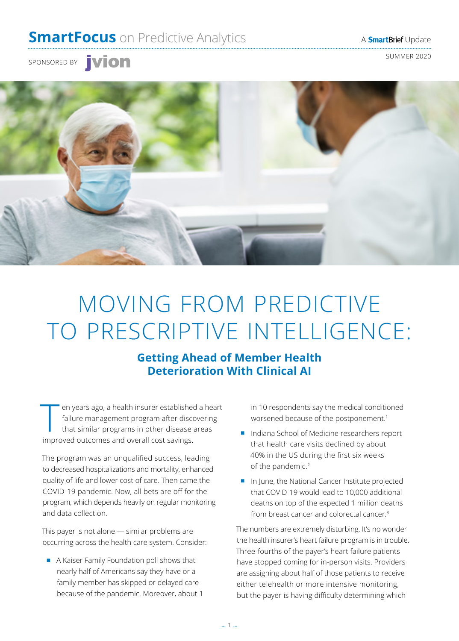# **SmartFocus** on Predictive Analytics **A SmartBrief Update**

SPONSORED BY **JVION** 

SUMMER 2020



# MOVING FROM PREDICTIVE TO PRESCRIPTIVE INTELLIGENCE:

### **Getting Ahead of Member Health Deterioration With Clinical AI**

T en years ago, a health insurer established a heart failure management program after discovering that similar programs in other disease areas improved outcomes and overall cost savings.

The program was an unqualified success, leading to decreased hospitalizations and mortality, enhanced quality of life and lower cost of care. Then came the COVID-19 pandemic. Now, all bets are off for the program, which depends heavily on regular monitoring and data collection.

This payer is not alone — similar problems are occurring across the health care system. Consider:

■ A Kaiser Family Foundation poll shows that nearly half of Americans say they have or a family member has skipped or delayed care because of the pandemic. Moreover, about 1 in 10 respondents say the medical conditioned worsened because of the postponement.<sup>1</sup>

- Indiana School of Medicine researchers report that health care visits declined by about 40% in the US during the first six weeks of the pandemic.<sup>2</sup>
- In June, the National Cancer Institute projected that COVID-19 would lead to 10,000 additional deaths on top of the expected 1 million deaths from breast cancer and colorectal cancer.3

The numbers are extremely disturbing. It's no wonder the health insurer's heart failure program is in trouble. Three-fourths of the payer's heart failure patients have stopped coming for in-person visits. Providers are assigning about half of those patients to receive either telehealth or more intensive monitoring, but the payer is having difficulty determining which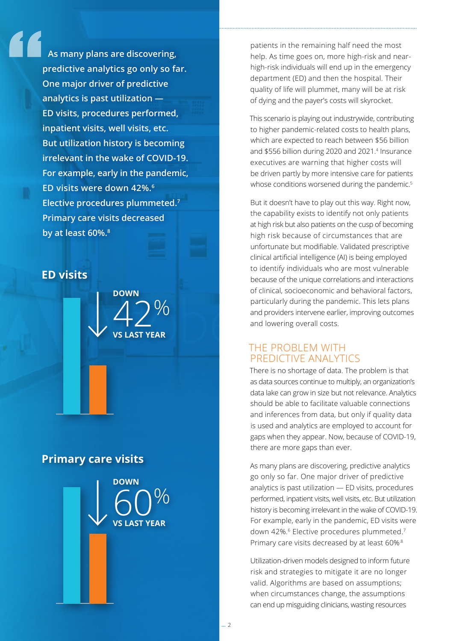**As many plans are discovering, predictive analytics go only so far. One major driver of predictive analytics is past utilization — ED visits, procedures performed, inpatient visits, well visits, etc. But utilization history is becoming irrelevant in the wake of COVID-19. For example, early in the pandemic, ED visits were down 42%.6 Elective procedures plummeted.7 Primary care visits decreased by at least 60%.8**

**ED visits**

↓**DOWN** 42% **VS LAST YEAR**

## **Primary care visits**

↓**DOWN**

 $\sqrt{0}$ 

**VS LAST YEAR**

patients in the remaining half need the most help. As time goes on, more high-risk and nearhigh-risk individuals will end up in the emergency department (ED) and then the hospital. Their quality of life will plummet, many will be at risk of dying and the payer's costs will skyrocket.

This scenario is playing out industrywide, contributing to higher pandemic-related costs to health plans, which are expected to reach between \$56 billion and \$556 billion during 2020 and 2021.<sup>4</sup> Insurance executives are warning that higher costs will be driven partly by more intensive care for patients whose conditions worsened during the pandemic.<sup>5</sup>

But it doesn't have to play out this way. Right now, the capability exists to identify not only patients at high risk but also patients on the cusp of becoming high risk because of circumstances that are unfortunate but modifiable. Validated prescriptive clinical artificial intelligence (AI) is being employed to identify individuals who are most vulnerable because of the unique correlations and interactions of clinical, socioeconomic and behavioral factors, particularly during the pandemic. This lets plans and providers intervene earlier, improving outcomes and lowering overall costs.

### THE PROBLEM WITH PREDICTIVE ANALYTICS

There is no shortage of data. The problem is that as data sources continue to multiply, an organization's data lake can grow in size but not relevance. Analytics should be able to facilitate valuable connections and inferences from data, but only if quality data is used and analytics are employed to account for gaps when they appear. Now, because of COVID-19, there are more gaps than ever.

As many plans are discovering, predictive analytics go only so far. One major driver of predictive analytics is past utilization — ED visits, procedures performed, inpatient visits, well visits, etc. But utilization history is becoming irrelevant in the wake of COVID-19. For example, early in the pandemic, ED visits were down 42%.<sup>6</sup> Elective procedures plummeted.<sup>7</sup> Primary care visits decreased by at least 60%.8

Utilization-driven models designed to inform future risk and strategies to mitigate it are no longer valid. Algorithms are based on assumptions; when circumstances change, the assumptions can end up misguiding clinicians, wasting resources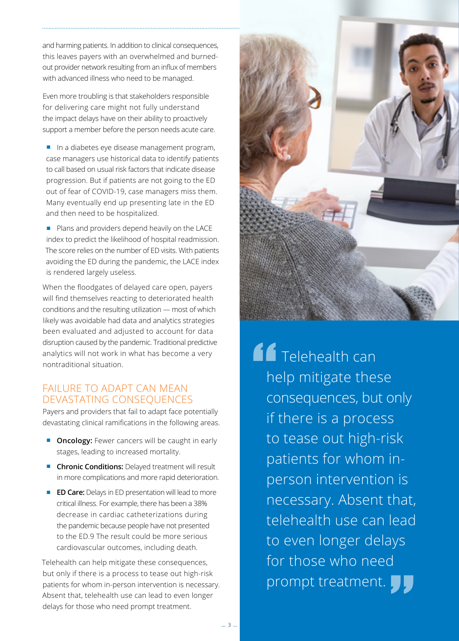and harming patients. In addition to clinical consequences, this leaves payers with an overwhelmed and burnedout provider network resulting from an influx of members with advanced illness who need to be managed.

Even more troubling is that stakeholders responsible for delivering care might not fully understand the impact delays have on their ability to proactively support a member before the person needs acute care.

■ In a diabetes eye disease management program, case managers use historical data to identify patients to call based on usual risk factors that indicate disease progression. But if patients are not going to the ED out of fear of COVID-19, case managers miss them. Many eventually end up presenting late in the ED and then need to be hospitalized.

■ Plans and providers depend heavily on the LACE index to predict the likelihood of hospital readmission. The score relies on the number of ED visits. With patients avoiding the ED during the pandemic, the LACE index is rendered largely useless.

When the floodgates of delayed care open, payers will find themselves reacting to deteriorated health conditions and the resulting utilization — most of which likely was avoidable had data and analytics strategies been evaluated and adjusted to account for data disruption caused by the pandemic. Traditional predictive analytics will not work in what has become a very nontraditional situation.

#### FAILURE TO ADAPT CAN MEAN DEVASTATING CONSEQUENCES

Payers and providers that fail to adapt face potentially devastating clinical ramifications in the following areas.

- **Oncology:** Fewer cancers will be caught in early stages, leading to increased mortality.
- **Chronic Conditions:** Delayed treatment will result in more complications and more rapid deterioration.
- **ED Care:** Delays in ED presentation will lead to more critical illness. For example, there has been a 38% decrease in cardiac catheterizations during the pandemic because people have not presented to the ED.9 The result could be more serious cardiovascular outcomes, including death.

Telehealth can help mitigate these consequences, but only if there is a process to tease out high-risk patients for whom in-person intervention is necessary. Absent that, telehealth use can lead to even longer delays for those who need prompt treatment.

![](_page_2_Picture_11.jpeg)

help mitigate these consequences, but only if there is a process to tease out high-risk patients for whom inperson intervention is necessary. Absent that, telehealth use can lead to even longer delays for those who need prompt treatment.  $\blacksquare$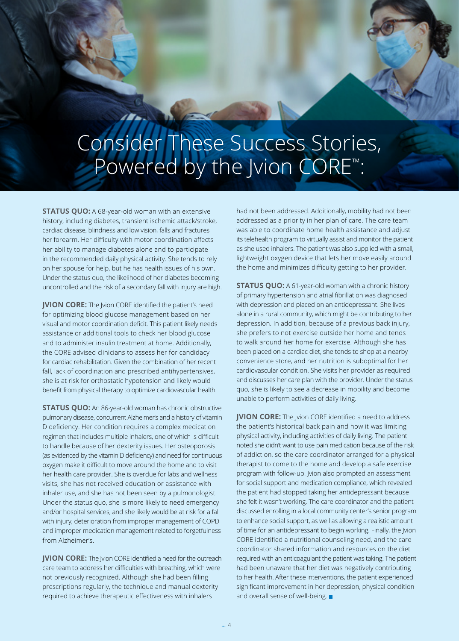# Consider These Success Stories, Powered by the Jvion CORE<sup>™</sup>:

**STATUS QUO:** A 68-year-old woman with an extensive history, including diabetes, transient ischemic attack/stroke, cardiac disease, blindness and low vision, falls and fractures her forearm. Her difficulty with motor coordination affects her ability to manage diabetes alone and to participate in the recommended daily physical activity. She tends to rely on her spouse for help, but he has health issues of his own. Under the status quo, the likelihood of her diabetes becoming uncontrolled and the risk of a secondary fall with injury are high.

**JVION CORE:** The Jvion CORE identified the patient's need for optimizing blood glucose management based on her visual and motor coordination deficit. This patient likely needs assistance or additional tools to check her blood glucose and to administer insulin treatment at home. Additionally, the CORE advised clinicians to assess her for candidacy for cardiac rehabilitation. Given the combination of her recent fall, lack of coordination and prescribed antihypertensives, she is at risk for orthostatic hypotension and likely would benefit from physical therapy to optimize cardiovascular health.

**STATUS QUO:** An 86-year-old woman has chronic obstructive pulmonary disease, concurrent Alzheimer's and a history of vitamin D deficiency. Her condition requires a complex medication regimen that includes multiple inhalers, one of which is difficult to handle because of her dexterity issues. Her osteoporosis (as evidenced by the vitamin D deficiency) and need for continuous oxygen make it difficult to move around the home and to visit her health care provider. She is overdue for labs and wellness visits, she has not received education or assistance with inhaler use, and she has not been seen by a pulmonologist. Under the status quo, she is more likely to need emergency and/or hospital services, and she likely would be at risk for a fall with injury, deterioration from improper management of COPD and improper medication management related to forgetfulness from Alzheimer's.

**JVION CORE:** The Jvion CORE identified a need for the outreach care team to address her difficulties with breathing, which were not previously recognized. Although she had been filling prescriptions regularly, the technique and manual dexterity required to achieve therapeutic effectiveness with inhalers

had not been addressed. Additionally, mobility had not been addressed as a priority in her plan of care. The care team was able to coordinate home health assistance and adjust its telehealth program to virtually assist and monitor the patient as she used inhalers. The patient was also supplied with a small, lightweight oxygen device that lets her move easily around the home and minimizes difficulty getting to her provider.

**STATUS QUO:** A 61-year-old woman with a chronic history of primary hypertension and atrial fibrillation was diagnosed with depression and placed on an antidepressant. She lives alone in a rural community, which might be contributing to her depression. In addition, because of a previous back injury, she prefers to not exercise outside her home and tends to walk around her home for exercise. Although she has been placed on a cardiac diet, she tends to shop at a nearby convenience store, and her nutrition is suboptimal for her cardiovascular condition. She visits her provider as required and discusses her care plan with the provider. Under the status quo, she is likely to see a decrease in mobility and become unable to perform activities of daily living.

**JVION CORE:** The Jvion CORE identified a need to address the patient's historical back pain and how it was limiting physical activity, including activities of daily living. The patient noted she didn't want to use pain medication because of the risk of addiction, so the care coordinator arranged for a physical therapist to come to the home and develop a safe exercise program with follow-up. Jvion also prompted an assessment for social support and medication compliance, which revealed the patient had stopped taking her antidepressant because she felt it wasn't working. The care coordinator and the patient discussed enrolling in a local community center's senior program to enhance social support, as well as allowing a realistic amount of time for an antidepressant to begin working. Finally, the Jvion CORE identified a nutritional counseling need, and the care coordinator shared information and resources on the diet required with an anticoagulant the patient was taking. The patient had been unaware that her diet was negatively contributing to her health. After these interventions, the patient experienced significant improvement in her depression, physical condition and overall sense of well-being.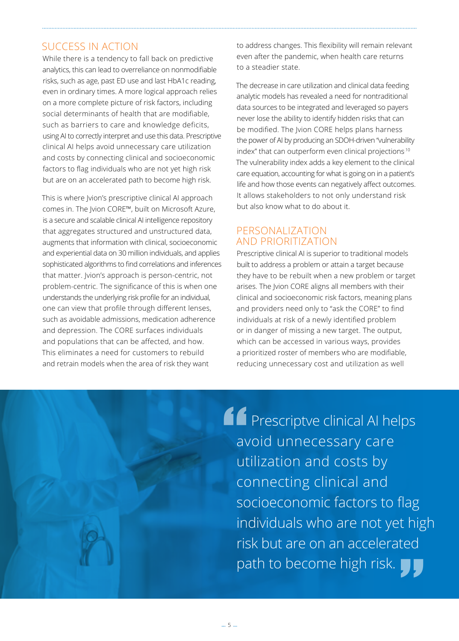### SUCCESS IN ACTION

While there is a tendency to fall back on predictive analytics, this can lead to overreliance on nonmodifiable risks, such as age, past ED use and last HbA1c reading, even in ordinary times. A more logical approach relies on a more complete picture of risk factors, including social determinants of health that are modifiable, such as barriers to care and knowledge deficits, using AI to correctly interpret and use this data. Prescriptive clinical AI helps avoid unnecessary care utilization and costs by connecting clinical and socioeconomic factors to flag individuals who are not yet high risk but are on an accelerated path to become high risk.

This is where Jvion's prescriptive clinical AI approach comes in. The Jvion CORE™, built on Microsoft Azure, is a secure and scalable clinical AI intelligence repository that aggregates structured and unstructured data, augments that information with clinical, socioeconomic and experiential data on 30 million individuals, and applies sophisticated algorithms to find correlations and inferences that matter. Jvion's approach is person-centric, not problem-centric. The significance of this is when one understands the underlying risk profile for an individual, one can view that profile through different lenses, such as avoidable admissions, medication adherence and depression. The CORE surfaces individuals and populations that can be affected, and how. This eliminates a need for customers to rebuild and retrain models when the area of risk they want

to address changes. This flexibility will remain relevant even after the pandemic, when health care returns to a steadier state.

The decrease in care utilization and clinical data feeding analytic models has revealed a need for nontraditional data sources to be integrated and leveraged so payers never lose the ability to identify hidden risks that can be modified. The Jvion CORE helps plans harness the power of AI by producing an SDOH-driven "vulnerability index" that can outperform even clinical projections.<sup>10</sup> The vulnerability index adds a key element to the clinical care equation, accounting for what is going on in a patient's life and how those events can negatively affect outcomes. It allows stakeholders to not only understand risk but also know what to do about it.

#### PERSONALIZATION AND PRIORITIZATION

Prescriptive clinical AI is superior to traditional models built to address a problem or attain a target because they have to be rebuilt when a new problem or target arises. The Jvion CORE aligns all members with their clinical and socioeconomic risk factors, meaning plans and providers need only to "ask the CORE" to find individuals at risk of a newly identified problem or in danger of missing a new target. The output, which can be accessed in various ways, provides a prioritized roster of members who are modifiable, reducing unnecessary cost and utilization as well

■<br>■ Prescriptve clinical AI helps avoid unnecessary care utilization and costs by connecting clinical and socioeconomic factors to flag individuals who are not yet high risk but are on an accelerated path to become high risk.  $\blacksquare$